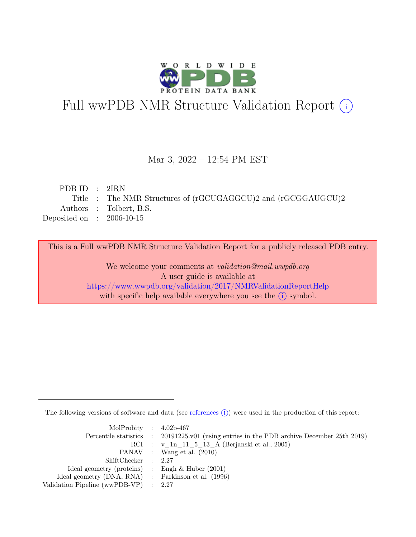

# Full wwPDB NMR Structure Validation Report (i)

#### Mar 3, 2022 – 12:54 PM EST

| PDB ID : 2IRN               |                                                               |
|-----------------------------|---------------------------------------------------------------|
|                             | Title : The NMR Structures of (rGCUGAGGCU)2 and (rGCGGAUGCU)2 |
|                             | Authors : Tolbert, B.S.                                       |
| Deposited on : $2006-10-15$ |                                                               |

This is a Full wwPDB NMR Structure Validation Report for a publicly released PDB entry.

We welcome your comments at *validation@mail.wwpdb.org* A user guide is available at <https://www.wwpdb.org/validation/2017/NMRValidationReportHelp> with specific help available everywhere you see the  $(i)$  symbol.

The following versions of software and data (see [references](https://www.wwpdb.org/validation/2017/NMRValidationReportHelp#references)  $\hat{I}$ ) were used in the production of this report:

| MolProbity : $4.02b-467$                            |                                                                                            |
|-----------------------------------------------------|--------------------------------------------------------------------------------------------|
|                                                     | Percentile statistics : 20191225.v01 (using entries in the PDB archive December 25th 2019) |
|                                                     | RCI : v 1n 11 5 13 A (Berjanski et al., 2005)                                              |
|                                                     | PANAV : Wang et al. (2010)                                                                 |
| ShiftChecker : 2.27                                 |                                                                                            |
| Ideal geometry (proteins) : Engh $\&$ Huber (2001)  |                                                                                            |
| Ideal geometry (DNA, RNA) : Parkinson et al. (1996) |                                                                                            |
| Validation Pipeline (wwPDB-VP) : $2.27$             |                                                                                            |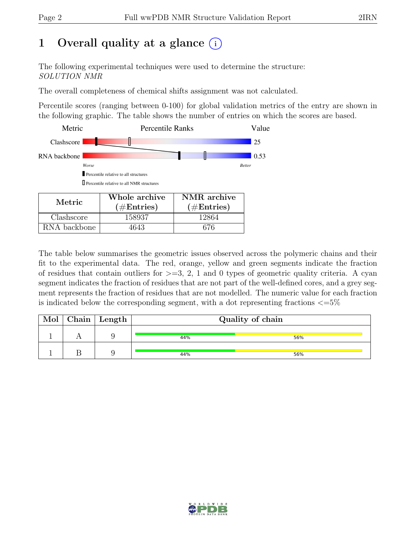## 1 Overall quality at a glance  $(i)$

The following experimental techniques were used to determine the structure: SOLUTION NMR

The overall completeness of chemical shifts assignment was not calculated.

Percentile scores (ranging between 0-100) for global validation metrics of the entry are shown in the following graphic. The table shows the number of entries on which the scores are based.



RNA backbone | 4643 | 676

The table below summarises the geometric issues observed across the polymeric chains and their fit to the experimental data. The red, orange, yellow and green segments indicate the fraction of residues that contain outliers for  $>=$  3, 2, 1 and 0 types of geometric quality criteria. A cyan segment indicates the fraction of residues that are not part of the well-defined cores, and a grey segment represents the fraction of residues that are not modelled. The numeric value for each fraction is indicated below the corresponding segment, with a dot representing fractions  $\epsilon = 5\%$ 

| Mol | $\vert$ Chain $\vert$ Length $\vert$ | Quality of chain |     |  |  |
|-----|--------------------------------------|------------------|-----|--|--|
|     |                                      | 44%              | 56% |  |  |
|     |                                      | 44%              | 56% |  |  |

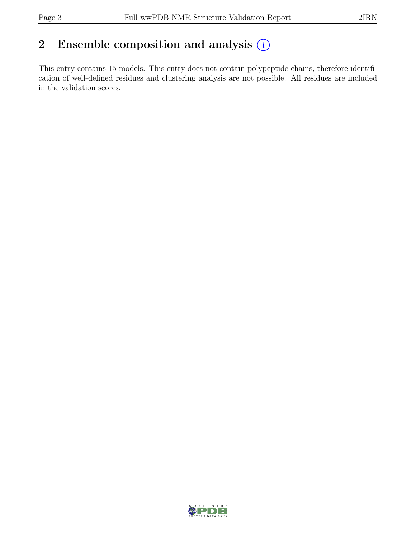## 2 Ensemble composition and analysis  $(i)$

This entry contains 15 models. This entry does not contain polypeptide chains, therefore identification of well-defined residues and clustering analysis are not possible. All residues are included in the validation scores.

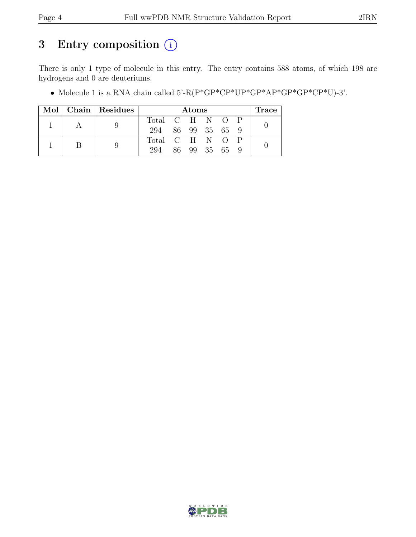## 3 Entry composition  $(i)$

There is only 1 type of molecule in this entry. The entry contains 588 atoms, of which 198 are hydrogens and 0 are deuteriums.

| Mol |  | Chain   Residues |                   | Atoms |               |  | Trace |
|-----|--|------------------|-------------------|-------|---------------|--|-------|
|     |  |                  | Total C H N O P   |       |               |  |       |
|     |  |                  | 294 86 99 35 65 9 |       |               |  |       |
|     |  |                  | Total C H N O P   |       |               |  |       |
|     |  |                  | 294               |       | 86 99 35 65 9 |  |       |

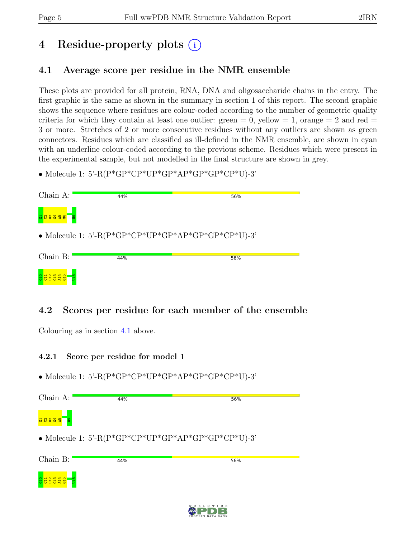# 4 Residue-property plots (i)

## <span id="page-4-0"></span>4.1 Average score per residue in the NMR ensemble

These plots are provided for all protein, RNA, DNA and oligosaccharide chains in the entry. The first graphic is the same as shown in the summary in section 1 of this report. The second graphic shows the sequence where residues are colour-coded according to the number of geometric quality criteria for which they contain at least one outlier: green  $= 0$ , yellow  $= 1$ , orange  $= 2$  and red  $=$ 3 or more. Stretches of 2 or more consecutive residues without any outliers are shown as green connectors. Residues which are classified as ill-defined in the NMR ensemble, are shown in cyan with an underline colour-coded according to the previous scheme. Residues which were present in the experimental sample, but not modelled in the final structure are shown in grey.

• Molecule 1: 5'-R(P\*GP\*CP\*UP\*GP\*AP\*GP\*GP\*CP\*U)-3'

| Chain A:        | 44%                                                                 | 56% |
|-----------------|---------------------------------------------------------------------|-----|
| $B339$ $B$<br>퓽 |                                                                     |     |
|                 | • Molecule 1: 5'-R( $P^*GP^*CP^*UP^*GP^*AP^*GP^*GP^*CP^*CP^*U$ )-3' |     |
| Chain B:        | 44%                                                                 | 56% |
| 품<br>곂쁬         |                                                                     |     |

## 4.2 Scores per residue for each member of the ensemble

Colouring as in section [4.1](#page-4-0) above.

#### 4.2.1 Score per residue for model 1

| Chain A:                                                              | 44%                                                       | 56% |
|-----------------------------------------------------------------------|-----------------------------------------------------------|-----|
| $\frac{a}{a}$ $\frac{a}{b}$ $\frac{a}{b}$ $\frac{a}{c}$ $\frac{a}{c}$ |                                                           |     |
|                                                                       | • Molecule 1: 5'-R( $P*GP*CP*UP*GP*AP*GP*GP*CP*CP*U$ )-3' |     |

![](_page_4_Picture_13.jpeg)

![](_page_4_Picture_14.jpeg)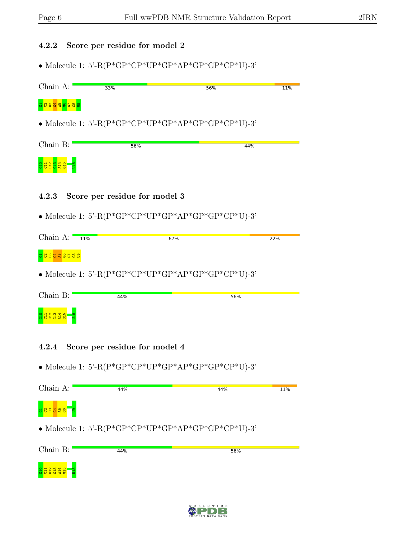## 4.2.2 Score per residue for model 2

 $\bullet$  Molecule 1: 5'-R(P\*GP\*CP\*UP\*GP\*AP\*GP\*GP\*CP\*U)-3'

| Chain $A:$                        | 33%                           | 56%                                                        | 11% |
|-----------------------------------|-------------------------------|------------------------------------------------------------|-----|
| <mark>ទី ខ ខ ខ ឌ ឌ ទ ទ ខ ខ</mark> |                               |                                                            |     |
|                                   |                               | $\bullet$ Molecule 1: 5'-R(P*GP*CP*UP*GP*AP*GP*GP*CP*U)-3' |     |
| Chain B:                          | 56%                           |                                                            | 44% |
|                                   |                               |                                                            |     |
| 4.2.3                             | Score per residue for model 3 |                                                            |     |
|                                   |                               | $\bullet$ Molecule 1: 5'-R(P*GP*CP*UP*GP*AP*GP*GP*CP*U)-3' |     |
| Chain A: $\frac{1}{11\%}$         |                               | 67%                                                        | 22% |
|                                   |                               |                                                            |     |

| Chain A: $\frac{1}{11\%}$ | 67% | 22% |
|---------------------------|-----|-----|
| 383348588                 |     |     |

| Chain B:  | 44% | 56% |
|-----------|-----|-----|
| gundade a |     |     |

- 4.2.4 Score per residue for model 4
- $\bullet$  Molecule 1: 5'-R(P\*GP\*CP\*UP\*GP\*AP\*GP\*GP\*CP\*U)-3'

| Chain A:                         | 44% | 44%                                                                 | 11% |
|----------------------------------|-----|---------------------------------------------------------------------|-----|
| <b>B</b><br><b>a</b> 8 8 3 2 3 6 |     |                                                                     |     |
|                                  |     | • Molecule 1: 5'-R( $P^*GP^*CP^*UP^*GP^*AP^*GP^*GP^*CP^*CP^*U$ )-3' |     |
| Chain B:                         | 44% | 56%                                                                 |     |
| -28<br>Bear and<br>$\frac{2}{5}$ |     |                                                                     |     |

![](_page_5_Picture_12.jpeg)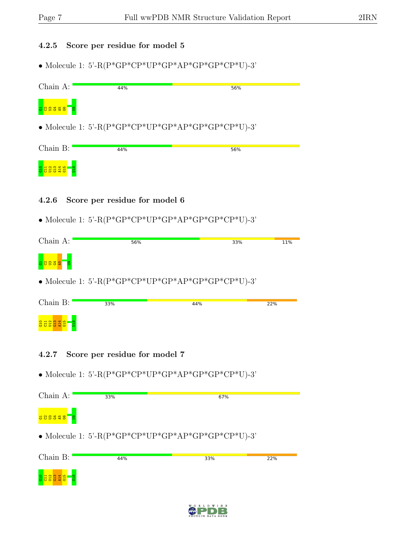#### 4.2.5 Score per residue for model 5

 $\bullet$  Molecule 1: 5'-R(P\*GP\*CP\*UP\*GP\*AP\*GP\*GP\*CP\*U)-3'

| Chain A:                | 44%                                                    | 56% |
|-------------------------|--------------------------------------------------------|-----|
| B398<br>B.              |                                                        |     |
|                         | • Molecule 1: 5'-R( $P*GP*CP*UP*GP*AP*GP*GP*CP*CP*UP*$ |     |
| Chain B:                | 44%                                                    | 56% |
| end<br>Signal<br>Signal |                                                        |     |

#### 4.2.6 Score per residue for model 6

## $\bullet$  Molecule 1: 5'-R(P\*GP\*CP\*UP\*GP\*AP\*GP\*GP\*CP\*U)-3'

| Chain A:                         | 56% | 33% | 11% |
|----------------------------------|-----|-----|-----|
| <mark>ទ 8 ខ ឌ ឌ</mark><br>$\Box$ |     |     |     |

| Chain B:                   | 33% | 44% | 22% |
|----------------------------|-----|-----|-----|
| gggggg <mark>g</mark><br>E |     |     |     |

- 4.2.7 Score per residue for model 7
- $\bullet$  Molecule 1: 5'-R(P\*GP\*CP\*UP\*GP\*AP\*GP\*GP\*CP\*U)-3'

| Chain A:       | 33% | 67%                                                      |
|----------------|-----|----------------------------------------------------------|
| $389348$ $  8$ |     |                                                          |
|                |     | • Molecule 1: 5'-R( $P*GP*CP*UP*GP*AP*GP*GP*CP*CP*UP*3'$ |

![](_page_6_Picture_14.jpeg)

![](_page_6_Picture_15.jpeg)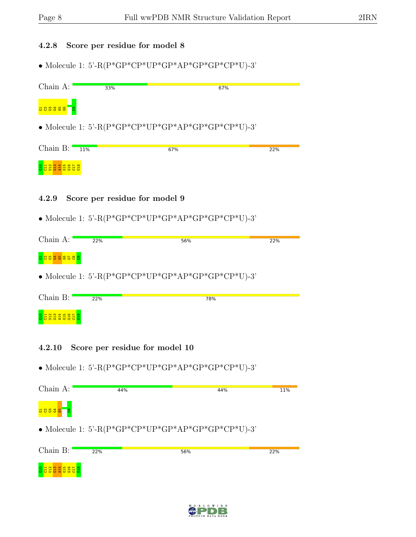### 4.2.8 Score per residue for model 8

 $\bullet$  Molecule 1: 5'-R(P\*GP\*CP\*UP\*GP\*AP\*GP\*GP\*CP\*U)-3'

| Chain $A:$                                  | 33%                           |                                                            | 67% |     |
|---------------------------------------------|-------------------------------|------------------------------------------------------------|-----|-----|
| <b>BOBB28</b>                               |                               |                                                            |     |     |
|                                             |                               | $\bullet$ Molecule 1: 5'-R(P*GP*CP*UP*GP*AP*GP*GP*CP*U)-3' |     |     |
| Chain B: $\frac{1}{11\%}$                   |                               | 67%                                                        |     | 22% |
| <b>BBBEBBBB</b>                             |                               |                                                            |     |     |
| 4.2.9                                       | Score per residue for model 9 |                                                            |     |     |
|                                             |                               | • Molecule 1: 5'-R( $P*GP*CP*UP*GP*AP*GP*GP*CP*CP*UP$ )-3' |     |     |
| Chain $A:$                                  | 22%                           | 56%                                                        |     | 22% |
| <mark>ខ</mark> ខ ខ ខ <mark>ខ ម ន ខ ខ</mark> |                               |                                                            |     |     |
|                                             |                               | • Molecule 1: 5'-R( $P*GP*CP*UP*GP*AP*GP*GP*CP*CP*UP$ )-3' |     |     |
| Chain B:                                    | 22%                           | 78%                                                        |     |     |

| U U D U I U U U D I |  |
|---------------------|--|
|---------------------|--|

#### 4.2.10 Score per residue for model 10

| Chain A:       | 44% | 44%                                                | 11% |
|----------------|-----|----------------------------------------------------|-----|
| <b>B8832 B</b> |     |                                                    |     |
|                |     | • Molecule 1: 5'-R(P*GP*CP*UP*GP*AP*GP*GP*CP*U)-3' |     |
| Chain B:       | 22% | 56%                                                | 22% |
| <b>Beggeen</b> |     |                                                    |     |

![](_page_7_Picture_10.jpeg)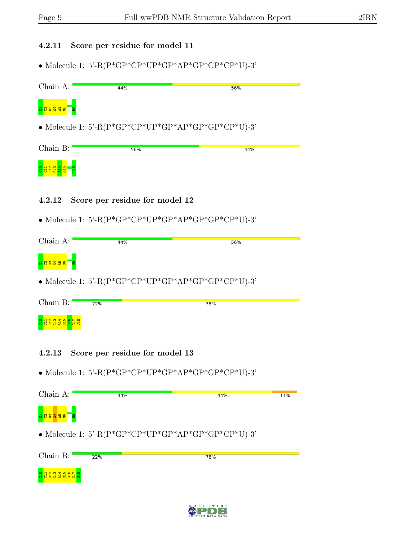#### 4.2.11 Score per residue for model 11

 $\bullet$  Molecule 1: 5'-R(P\*GP\*CP\*UP\*GP\*AP\*GP\*GP\*CP\*U)-3'

| Chain A:                   | 44%                                                | 56% |
|----------------------------|----------------------------------------------------|-----|
| $B378$ $B$                 |                                                    |     |
|                            | • Molecule 1: 5'-R(P*GP*CP*UP*GP*AP*GP*GP*CP*U)-3' |     |
| Chain B:                   | 56%                                                | 44% |
| <mark>ទ្ធិ</mark> មួននិងទី |                                                    |     |

#### 4.2.12 Score per residue for model 12

### • Molecule 1: 5'-R( $P^*GP^*CP^*UP^*GP^*AP^*GP^*GP^*CP^*U$ )-3'

| Chain A:     | 44% | 56% |
|--------------|-----|-----|
| 383348<br>B. |     |     |

 $\bullet$  Molecule 1: 5'-R(P\*GP\*CP\*UP\*GP\*AP\*GP\*GP\*CP\*U)-3'

| Chain B:         | 22% | 78% |
|------------------|-----|-----|
| <b>aussagebs</b> |     |     |

#### 4.2.13 Score per residue for model 13

<mark>g g g g g g g</mark>

 $\frac{27}{10}$ U18

• Molecule 1: 5'-R( $P^*GP^*CP^*UP^*GP^*AP^*GP^*GP^*CP^*UP^*$ )-3'

![](_page_8_Figure_13.jpeg)

![](_page_8_Picture_14.jpeg)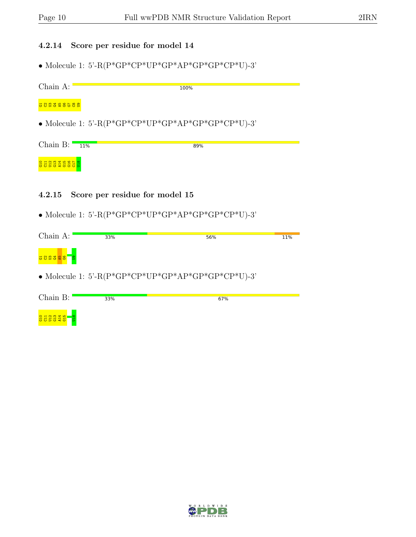### 4.2.14 Score per residue for model 14

 $\bullet$  Molecule 1: 5'-R(P\*GP\*CP\*UP\*GP\*AP\*GP\*GP\*CP\*U)-3'

| Chain A:                      | 100%                                                      |  |
|-------------------------------|-----------------------------------------------------------|--|
| - 19 3 3 일 일 명 <u>합 정 영 합</u> |                                                           |  |
|                               | • Molecule 1: 5'-R( $P*GP*CP*UP*GP*AP*GP*GP*CP*CP*UP*3$ ) |  |

| Chain B:<br>11% | 89% |
|-----------------|-----|
| <b>BERGESSE</b> |     |

#### 4.2.15 Score per residue for model 15

 $\bullet$  Molecule 1: 5'-R(P\*GP\*CP\*UP\*GP\*AP\*GP\*GP\*CP\*U)-3'

| Chain A:                           | 33% | 56% | 11% |
|------------------------------------|-----|-----|-----|
| <mark>ទ ខ ខ ឌ ឌ ខ         ខ</mark> |     |     |     |

| Chain B:     | 33% | 67% |
|--------------|-----|-----|
| $353339 - 8$ |     |     |

![](_page_9_Picture_12.jpeg)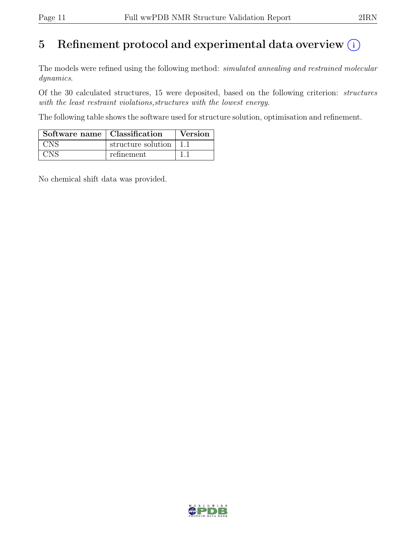## 5 Refinement protocol and experimental data overview  $\odot$

The models were refined using the following method: *simulated annealing and restrained molecular* dynamics.

Of the 30 calculated structures, 15 were deposited, based on the following criterion: structures with the least restraint violations, structures with the lowest energy.

The following table shows the software used for structure solution, optimisation and refinement.

| Software name   Classification |                          | <b>Version</b> |
|--------------------------------|--------------------------|----------------|
| C <sub>N</sub>                 | structure solution   1.1 |                |
|                                | refinement               |                |

No chemical shift data was provided.

![](_page_10_Picture_9.jpeg)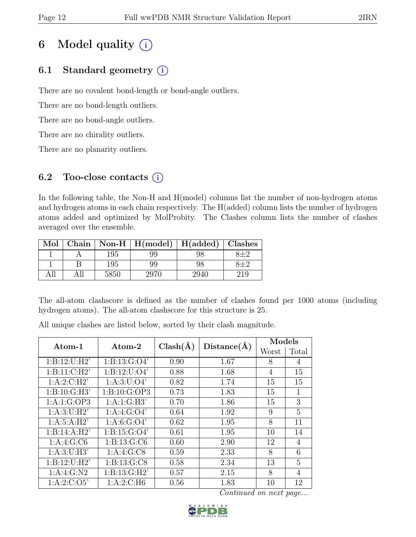## 6 Model quality  $(i)$

## 6.1 Standard geometry  $(i)$

There are no covalent bond-length or bond-angle outliers.

There are no bond-length outliers.

There are no bond-angle outliers.

There are no chirality outliers.

There are no planarity outliers.

## 6.2 Too-close contacts  $(i)$

In the following table, the Non-H and H(model) columns list the number of non-hydrogen atoms and hydrogen atoms in each chain respectively. The H(added) column lists the number of hydrogen atoms added and optimized by MolProbity. The Clashes column lists the number of clashes averaged over the ensemble.

| Mol |      | Chain   Non-H   $H(model)$   $H(added)$   Clashes |      |  |
|-----|------|---------------------------------------------------|------|--|
|     | 195  | QQ                                                |      |  |
|     | 195  | 99                                                | 98   |  |
|     | 5850 |                                                   | 2940 |  |

The all-atom clashscore is defined as the number of clashes found per 1000 atoms (including hydrogen atoms). The all-atom clashscore for this structure is 25.

All unique clashes are listed below, sorted by their clash magnitude.

| $\rm{Atom-1}$    | $Clash(\AA)$<br>$\rm{Atom}\text{-}2$ |      | Distance(A) | Models |                |
|------------------|--------------------------------------|------|-------------|--------|----------------|
|                  |                                      |      |             | Worst  | Total          |
| 1: B: 12: U:H2'  | 1: B: 13: G: O4'                     | 0.90 | 1.67        | 8      | 4              |
| 1: B: 11: C: H2' | 1: B: 12: U: O4'                     | 0.88 | 1.68        | 4      | 15             |
| 1:A:2:C:H2'      | 1: A:3: U:O4'                        | 0.82 | 1.74        | 15     | 15             |
| 1: B: 10: G: H3' | 1: B: 10: G: OP3                     | 0.73 | 1.83        | 15     | 1              |
| 1:A:1:G:OP3      | 1: A:1: G:H3'                        | 0.70 | 1.86        | 15     | 3              |
| 1: A:3: U:H2'    | 1: A:4: G:O4'                        | 0.64 | 1.92        | 9      | 5              |
| 1: A:5: A:H2'    | 1: A:6: G:O4'                        | 0.62 | 1.95        | 8      | 11             |
| 1:B:14:A:H2'     | 1: B: 15: G: O4'                     | 0.61 | 1.95        | 10     | 14             |
| 1:A:4:G:C6       | 1: B: 13: G: C6                      | 0.60 | 2.90        | 12     | $\overline{4}$ |
| 1: A:3: U:H3'    | 1:A:4:G:C8                           | 0.59 | 2.33        | 8      | 6              |
| 1: B: 12: U:H2'  | 1: B: 13: G: C8                      | 0.58 | 2.34        | 13     | 5              |
| 1: A:4: G:N2     | 1: B: 13: G: H2'                     | 0.57 | 2.15        | 8      | 4              |
| 1: A:2: C:O5'    | 1:A:2:C:H6                           | 0.56 | 1.83        | 10     | 12             |

Continued on next page...

![](_page_11_Picture_17.jpeg)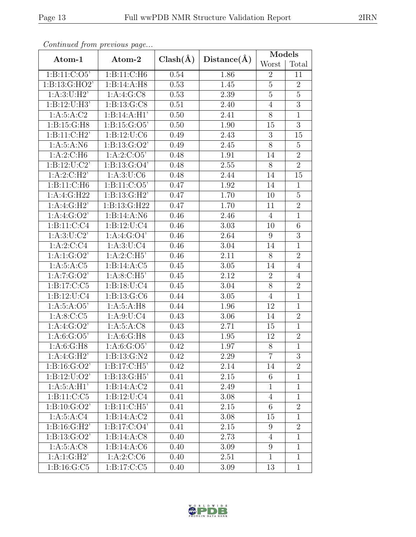|                           | Continuea from previous page |              |                   | Models           |                |
|---------------------------|------------------------------|--------------|-------------------|------------------|----------------|
| Atom-1                    | Atom-2                       | $Clash(\AA)$ | Distance(A)       | Worst            | Total          |
| 1: B: 11: C: O5'          | 1: B: 11: C: H6              | 0.54         | 1.86              | $\overline{2}$   | 11             |
| 1:B:13:G:HO2'             | 1:B:14:A:H8                  | 0.53         | 1.45              | $\overline{5}$   | $\overline{2}$ |
| 1: A:3: U:H2'             | 1:A:4:G:C8                   | 0.53         | 2.39              | $\bf 5$          | $\bf 5$        |
| 1: B: 12: U:H3'           | 1: B: 13: G: C8              | 0.51         | 2.40              | $\overline{4}$   | $\overline{3}$ |
| 1: A:5: A: C2             | 1:B:14:A:H1'                 | 0.50         | 2.41              | 8                | $\mathbf{1}$   |
| 1: B: 15: G:H8            | 1: B: 15: G: O5'             | 0.50         | 1.90              | 15               | $\overline{3}$ |
| 1:B:11:C:H2'              | 1: B: 12: U: C6              | 0.49         | 2.43              | 3                | 15             |
| 1: A: 5: A: N6            | 1: B: 13: G: O2'             | 0.49         | 2.45              | 8                | $\overline{5}$ |
| 1:A:2:C:H6                | 1:A:2:C:O5'                  | 0.48         | 1.91              | 14               | $\overline{2}$ |
| 1:B:12:U:C2'              | 1: B: 13: G: O4'             | 0.48         | 2.55              | 8                | $\overline{2}$ |
| $1:A:2:\overline{C:H}2$   | 1:A:3:U:C6                   | 0.48         | 2.44              | 14               | 15             |
| 1: B: 11: C: H6           | 1: B: 11: C: O5'             | 0.47         | 1.92              | 14               | $\mathbf{1}$   |
| 1:A:4:G:H22               | 1: B: 13: G: H2'             | 0.47         | 1.70              | 10               | $\overline{5}$ |
| 1:A:4:G:H2'               | 1:B:13:G:H22                 | 0.47         | 1.70              | 11               | $\overline{2}$ |
| 1: A:4: G:O2'             | 1:B:14:A:N6                  | 0.46         | 2.46              | $\overline{4}$   | $\mathbf{1}$   |
| 1:B:11:C:C4               | 1:B:12:U:C4                  | 0.46         | 3.03              | 10               | $\,6$          |
| 1: A:3: U: C2'            | 1: A:4: G:O4'                | 0.46         | 2.64              | $\overline{9}$   | 3              |
| 1:A:2:C:C4                | 1: A:3: U: C4                | 0.46         | 3.04              | 14               | $\mathbf{1}$   |
| 1:A:1:G:O2'               | 1:A:2:C:H5'                  | 0.46         | 2.11              | 8                | $\overline{2}$ |
| 1: A:5: A: C5             | 1: B: 14: A: C5              | 0.45         | 3.05              | 14               | $\overline{4}$ |
| 1:A:7:G:O2'               | 1:A:8:C:H5'                  | 0.45         | $\overline{2.12}$ | $\overline{2}$   | $\overline{4}$ |
| 1:B:17:C:C5               | 1:B:18:U:C4                  | 0.45         | 3.04              | 8                | $\sqrt{2}$     |
| 1:B:12:U:C4               | 1:B:13:G:C6                  | 0.44         | 3.05              | $\overline{4}$   | $\mathbf{1}$   |
| 1: A:5: A:O5'             | 1: A:5: A:H8                 | 0.44         | 1.96              | 12               | $\mathbf{1}$   |
| 1: A:8: C: C5             | 1: A:9: U: C4                | 0.43         | 3.06              | 14               | $\overline{2}$ |
| 1:A:4:G:O2'               | 1:A:5:A:C8                   | 0.43         | 2.71              | 15               | $\mathbf{1}$   |
| 1: A:6: G:O5'             | 1:A:6:G:H8                   | 0.43         | 1.95              | 12               | $\overline{2}$ |
| $1:A:6:\overline{G:H8}$   | 1: A:6: G:O5'                | 0.42         | 1.97              | 8                | $\overline{1}$ |
| 1: A:4: G:H2'             | 1: B: 13: G: N2              | 0.42         | 2.29              | $\overline{7}$   | 3              |
| 1: B: 16: G: O2'          | 1: B: 17: C: H5'             | 0.42         | 2.14              | 14               | $\overline{2}$ |
| 1: B: 12: U: O2'          | 1: B: 13: G: H5'             | 0.41         | 2.15              | $6\phantom{.}6$  | $\mathbf{1}$   |
| 1: A:5: A:H1'             | 1: B: 14: A: C2              | 0.41         | 2.49              | $\mathbf 1$      | $\mathbf{1}$   |
| $1:B:11:C: \overline{C5}$ | 1: B: 12: U: C4              | 0.41         | 3.08              | $\overline{4}$   | $\mathbf{1}$   |
| 1: B: 10: G: O2'          | 1:B:11:C:H5'                 | 0.41         | 2.15              | $6\phantom{.}$   | $\overline{2}$ |
| 1: A:5: A:C4              | 1: B: 14: A: C2              | 0.41         | 3.08              | 15               | $\mathbf{1}$   |
| 1: B: 16: G:H2'           | 1: B: 17: C: O4'             | 0.41         | 2.15              | $\boldsymbol{9}$ | $\sqrt{2}$     |
| 1: B: 13: G: O2'          | 1: B: 14: A: C8              | 0.40         | 2.73              | $\overline{4}$   | $\mathbf{1}$   |
| 1: A:5: A: C8             | 1: B: 14: A: C6              | 0.40         | 3.09              | $9\phantom{.0}$  | $\mathbf{1}$   |
| 1:A:1:G:H2'               | $1:A:2:C:\overline{C6}$      | 0.40         | 2.51              | $\mathbf{1}$     | $\mathbf{1}$   |
| 1: B: 16: G: C5           | 1: B: 17: C: C5              | 0.40         | 3.09              | 13               | $\overline{1}$ |

Continued from previous page.

![](_page_12_Picture_4.jpeg)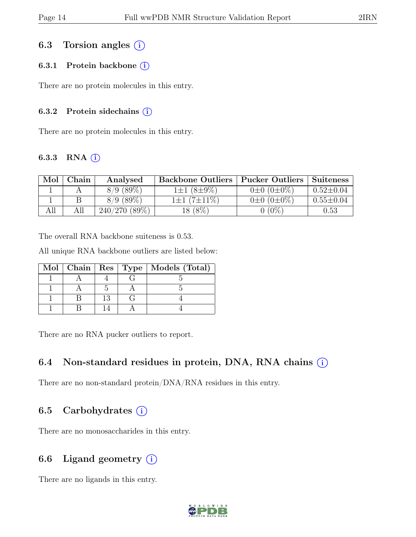### 6.3 Torsion angles  $(i)$

#### 6.3.1 Protein backbone (i)

There are no protein molecules in this entry.

#### 6.3.2 Protein sidechains  $(i)$

There are no protein molecules in this entry.

#### 6.3.3 RNA  $(i)$

| Mol | $\Delta$ hain | Analysed     | <b>Backbone Outliers   Pucker Outliers</b> |                       | <b>Suiteness</b> |
|-----|---------------|--------------|--------------------------------------------|-----------------------|------------------|
|     |               | $8/9(89\%)$  | $1\pm1(8\pm9\%)$                           | $0\pm 0$ $(0\pm 0\%)$ | $0.52 \pm 0.04$  |
|     |               | $8/9(89\%)$  | $7 \pm 11\%$                               | $0\pm 0$ $(0\pm 0\%)$ | $0.55 \pm 0.04$  |
|     |               | 240/270(89%) | $(8\%)$                                    | $(0\%$                | 0.53             |

The overall RNA backbone suiteness is 0.53.

All unique RNA backbone outliers are listed below:

|  |  | Mol   Chain   Res   Type   Models (Total) |
|--|--|-------------------------------------------|
|  |  |                                           |
|  |  |                                           |
|  |  |                                           |
|  |  |                                           |

There are no RNA pucker outliers to report.

## 6.4 Non-standard residues in protein, DNA, RNA chains  $(i)$

There are no non-standard protein/DNA/RNA residues in this entry.

### 6.5 Carbohydrates  $(i)$

There are no monosaccharides in this entry.

## 6.6 Ligand geometry  $(i)$

There are no ligands in this entry.

![](_page_13_Picture_20.jpeg)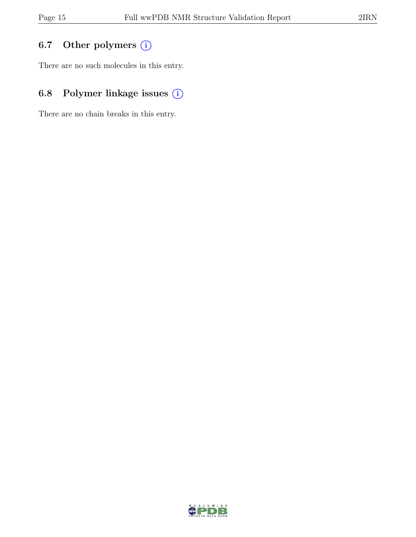## 6.7 Other polymers (i)

There are no such molecules in this entry.

## 6.8 Polymer linkage issues (i)

There are no chain breaks in this entry.

![](_page_14_Picture_7.jpeg)